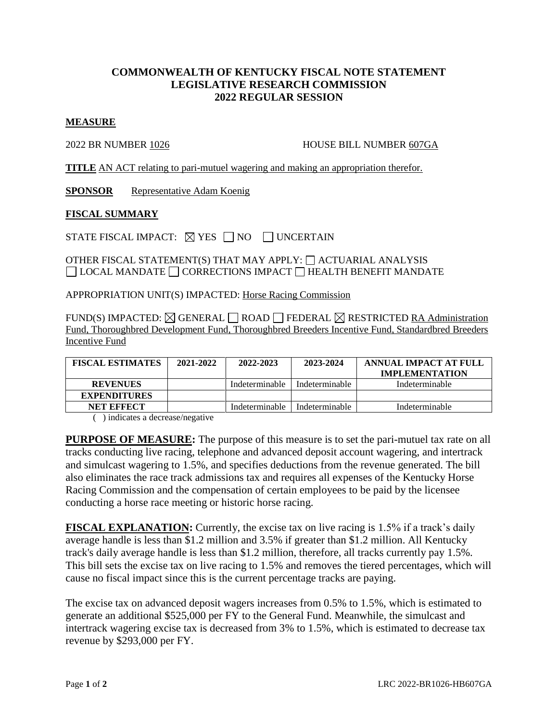## **COMMONWEALTH OF KENTUCKY FISCAL NOTE STATEMENT LEGISLATIVE RESEARCH COMMISSION 2022 REGULAR SESSION**

## **MEASURE**

2022 BR NUMBER 1026 HOUSE BILL NUMBER 607GA

**TITLE** AN ACT relating to pari-mutuel wagering and making an appropriation therefor.

**SPONSOR** Representative Adam Koenig

## **FISCAL SUMMARY**

STATE FISCAL IMPACT:  $\boxtimes$  YES  $\Box$  NO  $\Box$  UNCERTAIN

OTHER FISCAL STATEMENT(S) THAT MAY APPLY:  $\Box$  ACTUARIAL ANALYSIS  $\Box$  LOCAL MANDATE  $\Box$  CORRECTIONS IMPACT  $\Box$  HEALTH BENEFIT MANDATE

APPROPRIATION UNIT(S) IMPACTED: Horse Racing Commission

FUND(S) IMPACTED:  $\boxtimes$  GENERAL  $\Box$  ROAD  $\Box$  FEDERAL  $\boxtimes$  RESTRICTED RA Administration Fund, Thoroughbred Development Fund, Thoroughbred Breeders Incentive Fund, Standardbred Breeders Incentive Fund

| <b>FISCAL ESTIMATES</b> | 2021-2022 | 2022-2023      | 2023-2024      | ANNUAL IMPACT AT FULL<br><b>IMPLEMENTATION</b> |
|-------------------------|-----------|----------------|----------------|------------------------------------------------|
| <b>REVENUES</b>         |           | Indeterminable | Indeterminable | Indeterminable                                 |
| <b>EXPENDITURES</b>     |           |                |                |                                                |
| <b>NET EFFECT</b>       |           | Indeterminable | Indeterminable | Indeterminable                                 |

( ) indicates a decrease/negative

**PURPOSE OF MEASURE:** The purpose of this measure is to set the pari-mutuel tax rate on all tracks conducting live racing, telephone and advanced deposit account wagering, and intertrack and simulcast wagering to 1.5%, and specifies deductions from the revenue generated. The bill also eliminates the race track admissions tax and requires all expenses of the Kentucky Horse Racing Commission and the compensation of certain employees to be paid by the licensee conducting a horse race meeting or historic horse racing.

**FISCAL EXPLANATION:** Currently, the excise tax on live racing is 1.5% if a track's daily average handle is less than \$1.2 million and 3.5% if greater than \$1.2 million. All Kentucky track's daily average handle is less than \$1.2 million, therefore, all tracks currently pay 1.5%. This bill sets the excise tax on live racing to 1.5% and removes the tiered percentages, which will cause no fiscal impact since this is the current percentage tracks are paying.

The excise tax on advanced deposit wagers increases from 0.5% to 1.5%, which is estimated to generate an additional \$525,000 per FY to the General Fund. Meanwhile, the simulcast and intertrack wagering excise tax is decreased from 3% to 1.5%, which is estimated to decrease tax revenue by \$293,000 per FY.